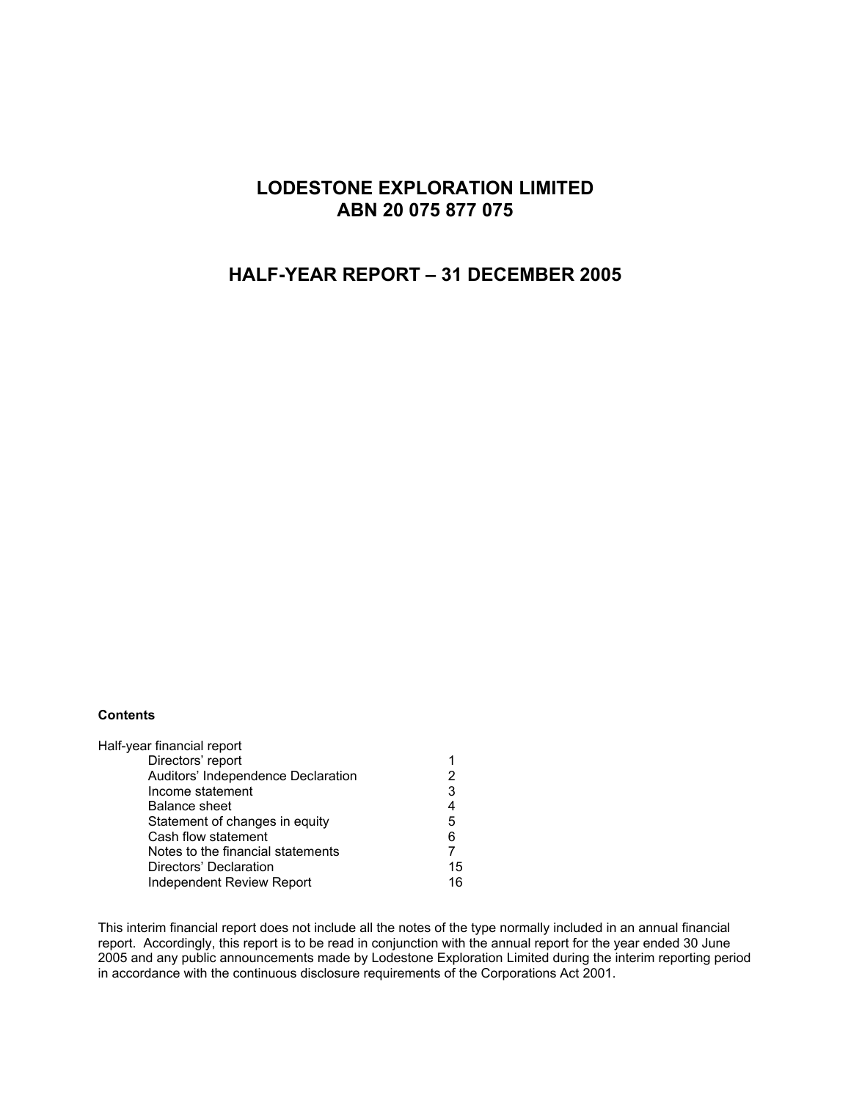# **LODESTONE EXPLORATION LIMITED ABN 20 075 877 075**

## **HALF-YEAR REPORT – 31 DECEMBER 2005**

#### **Contents**

| Half-year financial report         |    |
|------------------------------------|----|
| Directors' report                  |    |
| Auditors' Independence Declaration | 2  |
| Income statement                   | 3  |
| <b>Balance sheet</b>               | 4  |
| Statement of changes in equity     | 5  |
| Cash flow statement                | 6  |
| Notes to the financial statements  |    |
| Directors' Declaration             | 15 |
| Independent Review Report          | 16 |

This interim financial report does not include all the notes of the type normally included in an annual financial report. Accordingly, this report is to be read in conjunction with the annual report for the year ended 30 June 2005 and any public announcements made by Lodestone Exploration Limited during the interim reporting period in accordance with the continuous disclosure requirements of the Corporations Act 2001.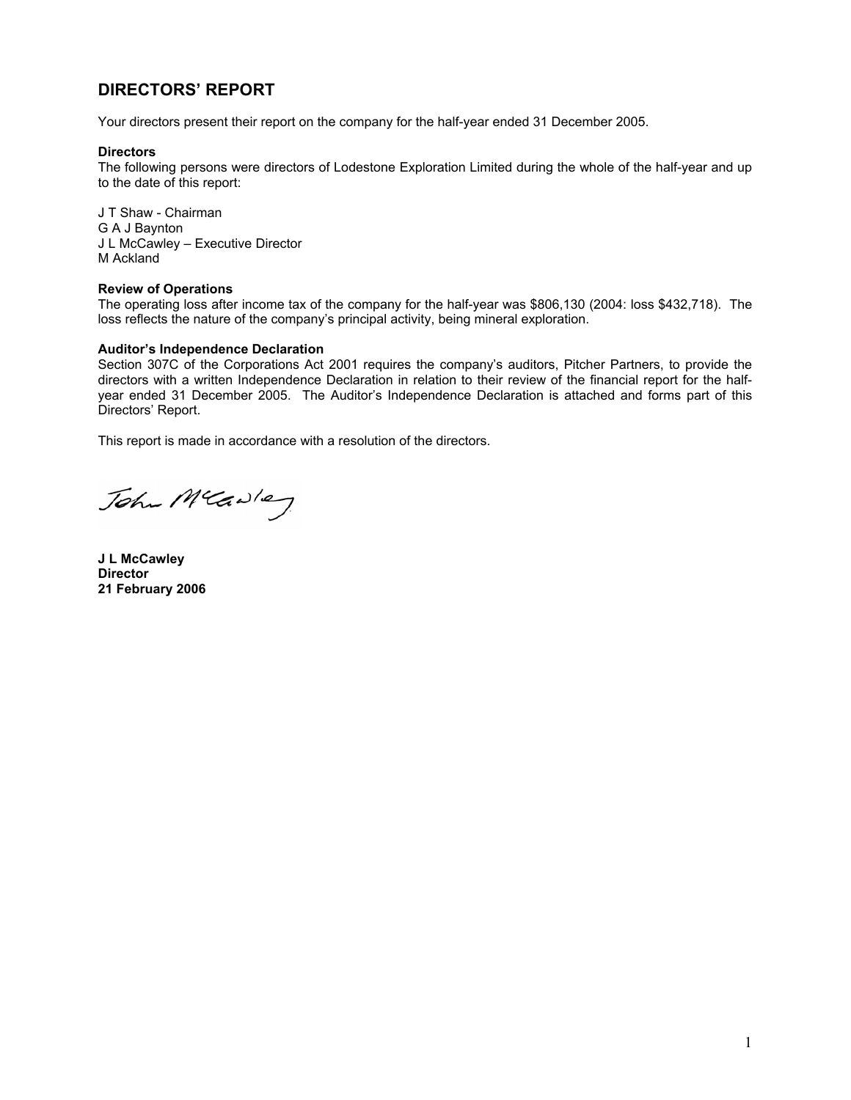# **DIRECTORS' REPORT**

Your directors present their report on the company for the half-year ended 31 December 2005.

#### **Directors**

The following persons were directors of Lodestone Exploration Limited during the whole of the half-year and up to the date of this report:

J T Shaw - Chairman G A J Baynton J L McCawley – Executive Director M Ackland

#### **Review of Operations**

The operating loss after income tax of the company for the half-year was \$806,130 (2004: loss \$432,718). The loss reflects the nature of the company's principal activity, being mineral exploration.

#### **Auditor's Independence Declaration**

Section 307C of the Corporations Act 2001 requires the company's auditors, Pitcher Partners, to provide the directors with a written Independence Declaration in relation to their review of the financial report for the halfyear ended 31 December 2005. The Auditor's Independence Declaration is attached and forms part of this Directors' Report.

This report is made in accordance with a resolution of the directors.

John Mcawley

**J L McCawley Director 21 February 2006**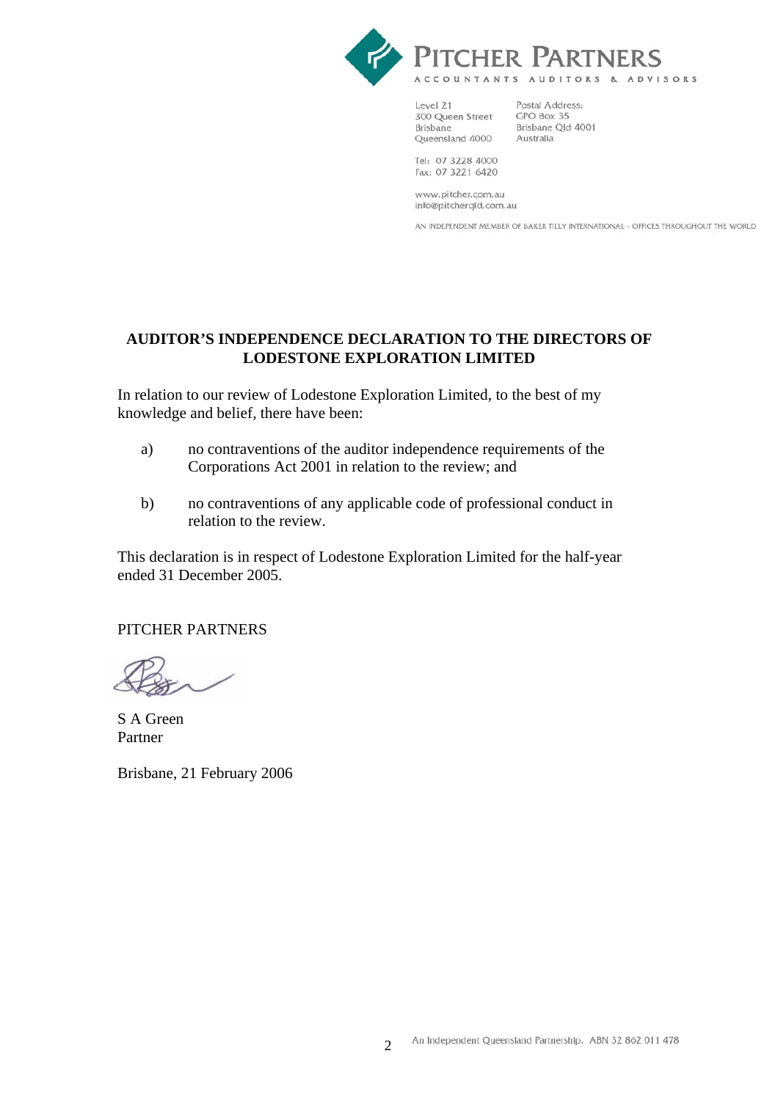

Level 21 300 Queen Street **Brisbane** Queensland 4000

Postal Address: GPO Box 35 Brisbane Old 4001 Australia

Tel: 07 3228 4000 Fax: 07 3221 6420

www.pitcher.com.au info@pitcherqld.com.au

AN INDEPENDENT MEMBER OF BAKER TILLY INTERNATIONAL - OFFICES THROUGHOUT THE WORLD

# **AUDITOR'S INDEPENDENCE DECLARATION TO THE DIRECTORS OF LODESTONE EXPLORATION LIMITED**

In relation to our review of Lodestone Exploration Limited, to the best of my knowledge and belief, there have been:

- a) no contraventions of the auditor independence requirements of the Corporations Act 2001 in relation to the review; and
- b) no contraventions of any applicable code of professional conduct in relation to the review.

This declaration is in respect of Lodestone Exploration Limited for the half-year ended 31 December 2005.

## PITCHER PARTNERS

S A Green Partner

Brisbane, 21 February 2006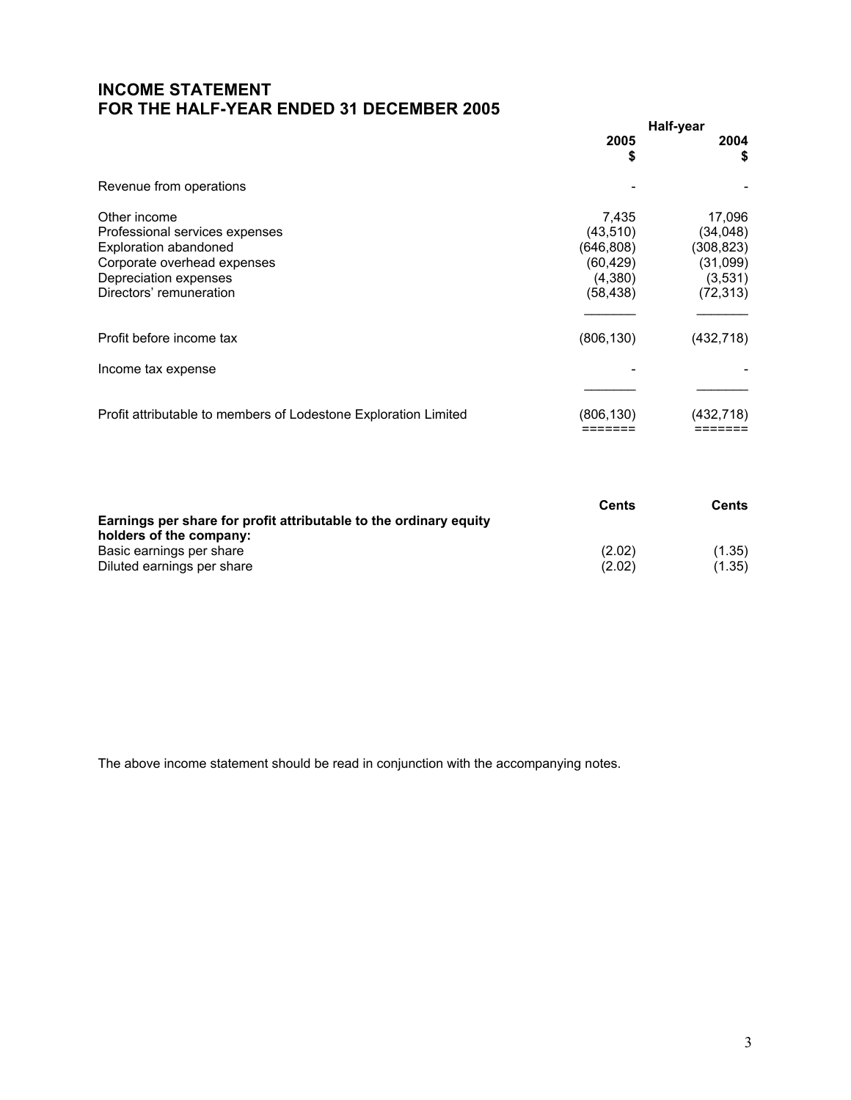# **INCOME STATEMENT FOR THE HALF-YEAR ENDED 31 DECEMBER 2005**

|                                                                                                                                                                   |                                                                      | Half-year                                                            |
|-------------------------------------------------------------------------------------------------------------------------------------------------------------------|----------------------------------------------------------------------|----------------------------------------------------------------------|
|                                                                                                                                                                   | 2005<br>\$                                                           | 2004<br>\$                                                           |
| Revenue from operations                                                                                                                                           |                                                                      |                                                                      |
| Other income<br>Professional services expenses<br><b>Exploration abandoned</b><br>Corporate overhead expenses<br>Depreciation expenses<br>Directors' remuneration | 7,435<br>(43, 510)<br>(646, 808)<br>(60,429)<br>(4,380)<br>(58, 438) | 17,096<br>(34,048)<br>(308, 823)<br>(31,099)<br>(3,531)<br>(72, 313) |
| Profit before income tax                                                                                                                                          | (806, 130)                                                           | (432,718)                                                            |
| Income tax expense                                                                                                                                                |                                                                      |                                                                      |
| Profit attributable to members of Lodestone Exploration Limited                                                                                                   | (806, 130)                                                           | (432,718)                                                            |

|                                                                   | <b>Cents</b> | Cents  |
|-------------------------------------------------------------------|--------------|--------|
| Earnings per share for profit attributable to the ordinary equity |              |        |
| holders of the company:                                           |              |        |
| Basic earnings per share                                          | (2.02)       | (1.35) |
| Diluted earnings per share                                        | (2.02)       | (1.35) |

The above income statement should be read in conjunction with the accompanying notes.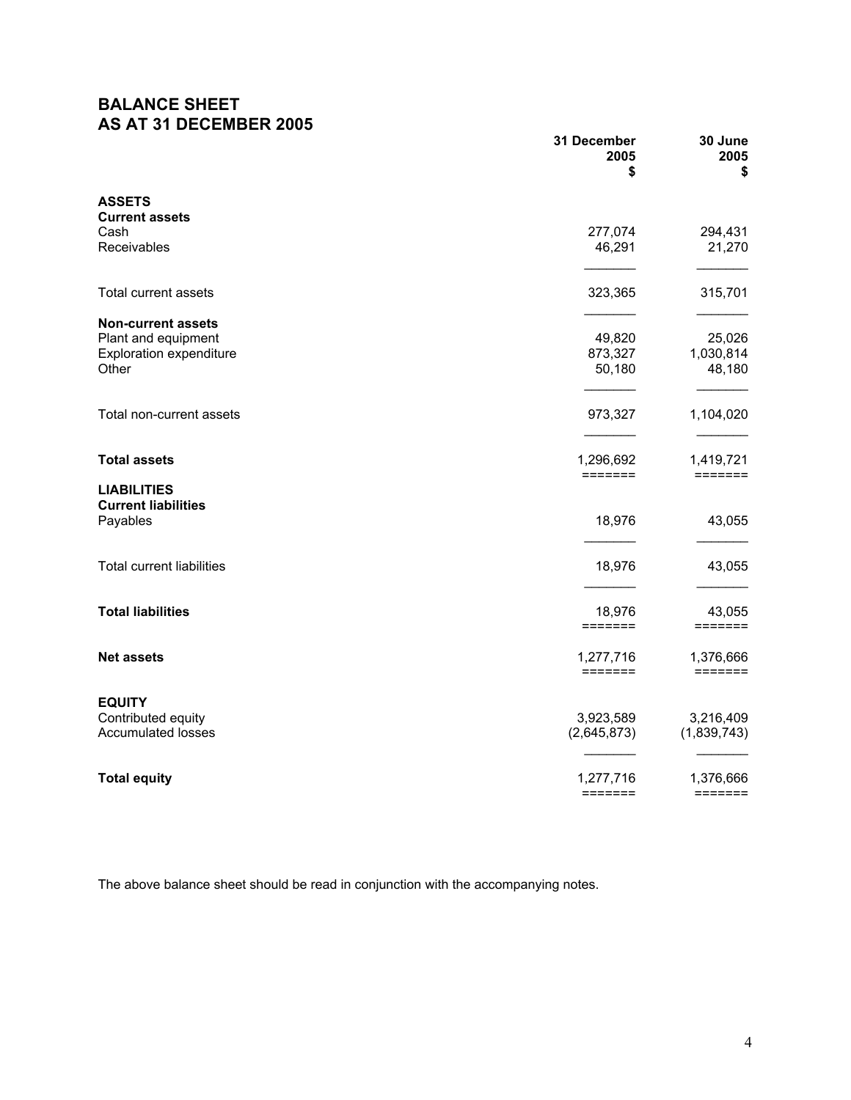# **BALANCE SHEET AS AT 31 DECEMBER 2005**

|                                                                                             | 31 December<br>2005<br>\$            | 30 June<br>2005<br>\$             |
|---------------------------------------------------------------------------------------------|--------------------------------------|-----------------------------------|
| <b>ASSETS</b><br><b>Current assets</b>                                                      |                                      |                                   |
| Cash<br>Receivables                                                                         | 277,074<br>46,291                    | 294,431<br>21,270                 |
| Total current assets                                                                        | 323,365                              | 315,701                           |
| <b>Non-current assets</b><br>Plant and equipment<br><b>Exploration expenditure</b><br>Other | 49,820<br>873,327<br>50,180          | 25,026<br>1,030,814<br>48,180     |
| Total non-current assets                                                                    | 973,327                              | 1,104,020                         |
| <b>Total assets</b><br><b>LIABILITIES</b>                                                   | 1,296,692<br>=======                 | 1,419,721<br>=======              |
| <b>Current liabilities</b><br>Payables                                                      | 18,976                               | 43,055                            |
| <b>Total current liabilities</b>                                                            | 18,976                               | 43,055                            |
| <b>Total liabilities</b>                                                                    | 18,976<br>$=$ $=$ $=$ $=$ $=$ $=$    | 43,055<br>$=$ $=$ $=$ $=$ $=$ $=$ |
| <b>Net assets</b>                                                                           | 1,277,716<br><b>EEEEEEE</b>          | 1,376,666<br><b>EEEEEEE</b>       |
| <b>EQUITY</b><br>Contributed equity<br><b>Accumulated losses</b>                            | 3,923,589<br>(2,645,873)             | 3,216,409<br>(1,839,743)          |
| <b>Total equity</b>                                                                         | 1,277,716<br>$=$ $=$ $=$ $=$ $=$ $=$ | 1,376,666<br>=======              |

The above balance sheet should be read in conjunction with the accompanying notes.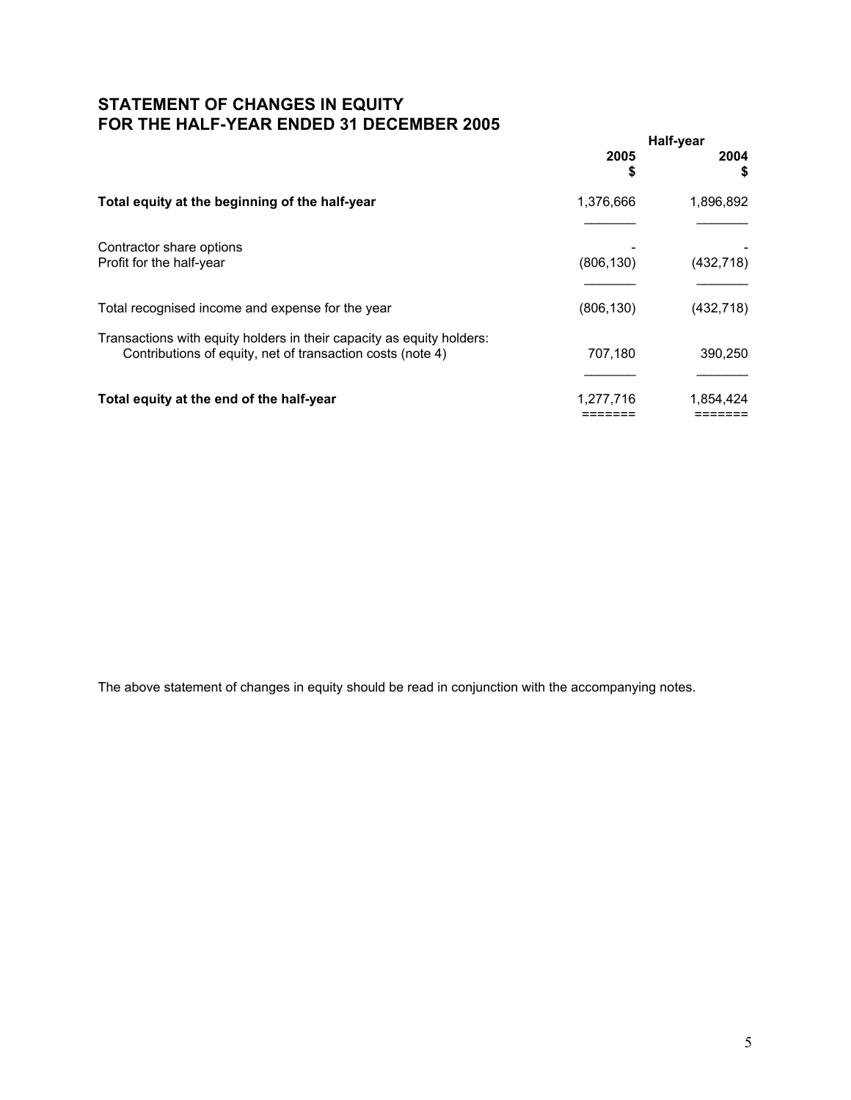## **STATEMENT OF CHANGES IN EQUITY FOR THE HALF-YEAR ENDED 31 DECEMBER 2005**

|                                                                                                                                     | Half-year  |            |
|-------------------------------------------------------------------------------------------------------------------------------------|------------|------------|
|                                                                                                                                     | 2005<br>\$ | 2004<br>S  |
| Total equity at the beginning of the half-year                                                                                      | 1,376,666  | 1,896,892  |
| Contractor share options<br>Profit for the half-year                                                                                | (806, 130) | (432, 718) |
| Total recognised income and expense for the year                                                                                    | (806, 130) | (432, 718) |
| Transactions with equity holders in their capacity as equity holders:<br>Contributions of equity, net of transaction costs (note 4) | 707.180    | 390,250    |
| Total equity at the end of the half-year                                                                                            | 1,277,716  | 1,854,424  |

The above statement of changes in equity should be read in conjunction with the accompanying notes.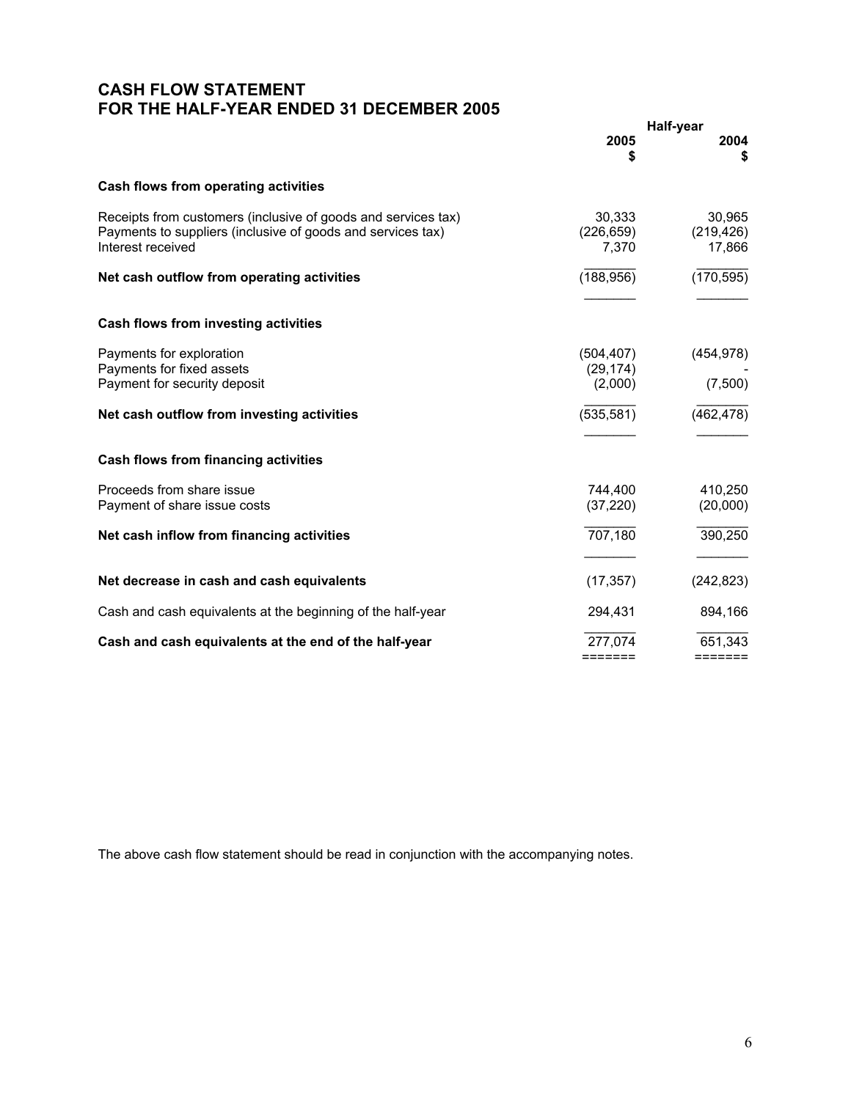# **CASH FLOW STATEMENT FOR THE HALF-YEAR ENDED 31 DECEMBER 2005**

|                                                                                                                                                   |                               | Half-year                      |
|---------------------------------------------------------------------------------------------------------------------------------------------------|-------------------------------|--------------------------------|
|                                                                                                                                                   | 2005<br>\$                    | 2004<br>S                      |
| Cash flows from operating activities                                                                                                              |                               |                                |
| Receipts from customers (inclusive of goods and services tax)<br>Payments to suppliers (inclusive of goods and services tax)<br>Interest received | 30.333<br>(226, 659)<br>7,370 | 30.965<br>(219, 426)<br>17,866 |
| Net cash outflow from operating activities                                                                                                        | (188, 956)                    | (170, 595)                     |
| Cash flows from investing activities                                                                                                              |                               |                                |
| Payments for exploration<br>Payments for fixed assets                                                                                             | (504, 407)<br>(29, 174)       | (454, 978)                     |
| Payment for security deposit                                                                                                                      | (2,000)                       | (7,500)                        |
| Net cash outflow from investing activities                                                                                                        | (535, 581)                    | (462, 478)                     |
| Cash flows from financing activities                                                                                                              |                               |                                |
| Proceeds from share issue                                                                                                                         | 744,400                       | 410,250                        |
| Payment of share issue costs                                                                                                                      | (37, 220)                     | (20,000)                       |
| Net cash inflow from financing activities                                                                                                         | 707,180                       | 390,250                        |
|                                                                                                                                                   |                               |                                |
| Net decrease in cash and cash equivalents                                                                                                         | (17, 357)                     | (242, 823)                     |
| Cash and cash equivalents at the beginning of the half-year                                                                                       | 294,431                       | 894,166                        |
| Cash and cash equivalents at the end of the half-year                                                                                             | 277,074                       | 651,343                        |
|                                                                                                                                                   | $=$ $=$ $=$ $=$ $=$ $=$       | =======                        |

The above cash flow statement should be read in conjunction with the accompanying notes.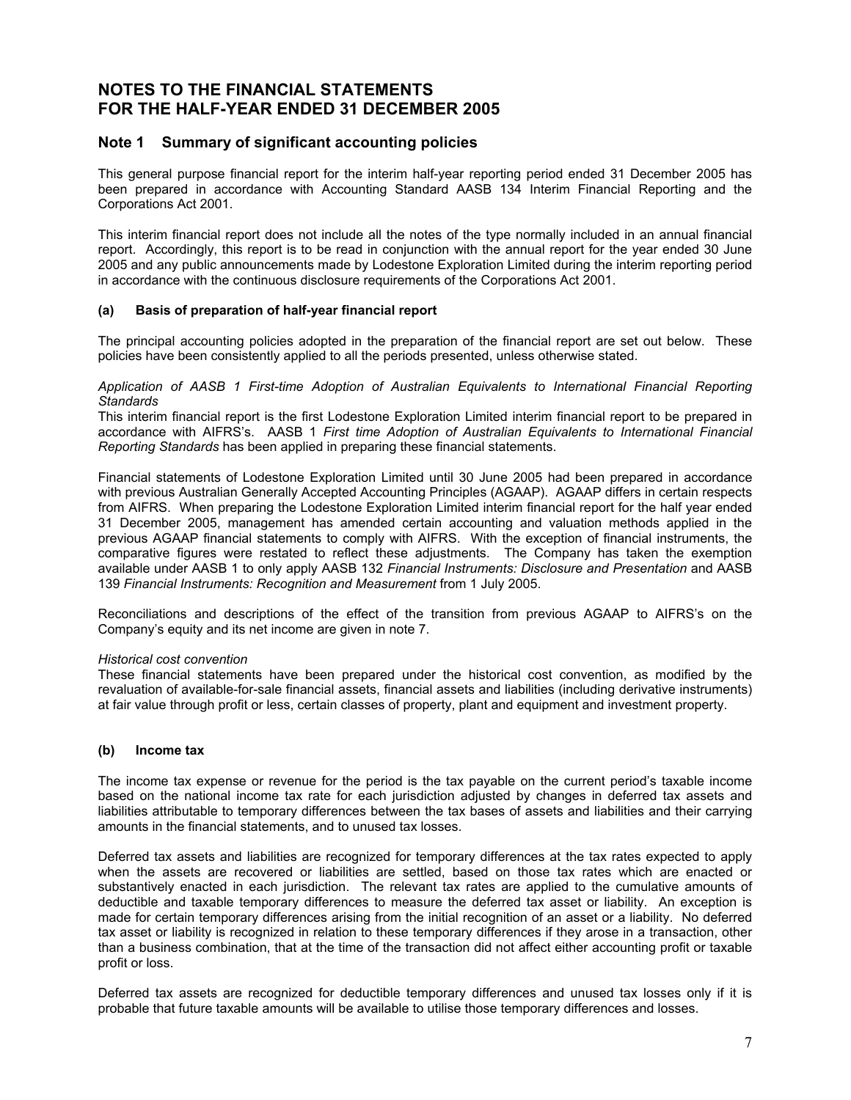### **Note 1 Summary of significant accounting policies**

This general purpose financial report for the interim half-year reporting period ended 31 December 2005 has been prepared in accordance with Accounting Standard AASB 134 Interim Financial Reporting and the Corporations Act 2001.

This interim financial report does not include all the notes of the type normally included in an annual financial report. Accordingly, this report is to be read in conjunction with the annual report for the year ended 30 June 2005 and any public announcements made by Lodestone Exploration Limited during the interim reporting period in accordance with the continuous disclosure requirements of the Corporations Act 2001.

### **(a) Basis of preparation of half-year financial report**

The principal accounting policies adopted in the preparation of the financial report are set out below. These policies have been consistently applied to all the periods presented, unless otherwise stated.

#### *Application of AASB 1 First-time Adoption of Australian Equivalents to International Financial Reporting Standards*

This interim financial report is the first Lodestone Exploration Limited interim financial report to be prepared in accordance with AIFRS's. AASB 1 *First time Adoption of Australian Equivalents to International Financial Reporting Standards* has been applied in preparing these financial statements.

Financial statements of Lodestone Exploration Limited until 30 June 2005 had been prepared in accordance with previous Australian Generally Accepted Accounting Principles (AGAAP). AGAAP differs in certain respects from AIFRS. When preparing the Lodestone Exploration Limited interim financial report for the half year ended 31 December 2005, management has amended certain accounting and valuation methods applied in the previous AGAAP financial statements to comply with AIFRS. With the exception of financial instruments, the comparative figures were restated to reflect these adjustments. The Company has taken the exemption available under AASB 1 to only apply AASB 132 *Financial Instruments: Disclosure and Presentation* and AASB 139 *Financial Instruments: Recognition and Measurement* from 1 July 2005.

Reconciliations and descriptions of the effect of the transition from previous AGAAP to AIFRS's on the Company's equity and its net income are given in note 7.

### *Historical cost convention*

These financial statements have been prepared under the historical cost convention, as modified by the revaluation of available-for-sale financial assets, financial assets and liabilities (including derivative instruments) at fair value through profit or less, certain classes of property, plant and equipment and investment property.

### **(b) Income tax**

The income tax expense or revenue for the period is the tax payable on the current period's taxable income based on the national income tax rate for each jurisdiction adjusted by changes in deferred tax assets and liabilities attributable to temporary differences between the tax bases of assets and liabilities and their carrying amounts in the financial statements, and to unused tax losses.

Deferred tax assets and liabilities are recognized for temporary differences at the tax rates expected to apply when the assets are recovered or liabilities are settled, based on those tax rates which are enacted or substantively enacted in each jurisdiction. The relevant tax rates are applied to the cumulative amounts of deductible and taxable temporary differences to measure the deferred tax asset or liability. An exception is made for certain temporary differences arising from the initial recognition of an asset or a liability. No deferred tax asset or liability is recognized in relation to these temporary differences if they arose in a transaction, other than a business combination, that at the time of the transaction did not affect either accounting profit or taxable profit or loss.

Deferred tax assets are recognized for deductible temporary differences and unused tax losses only if it is probable that future taxable amounts will be available to utilise those temporary differences and losses.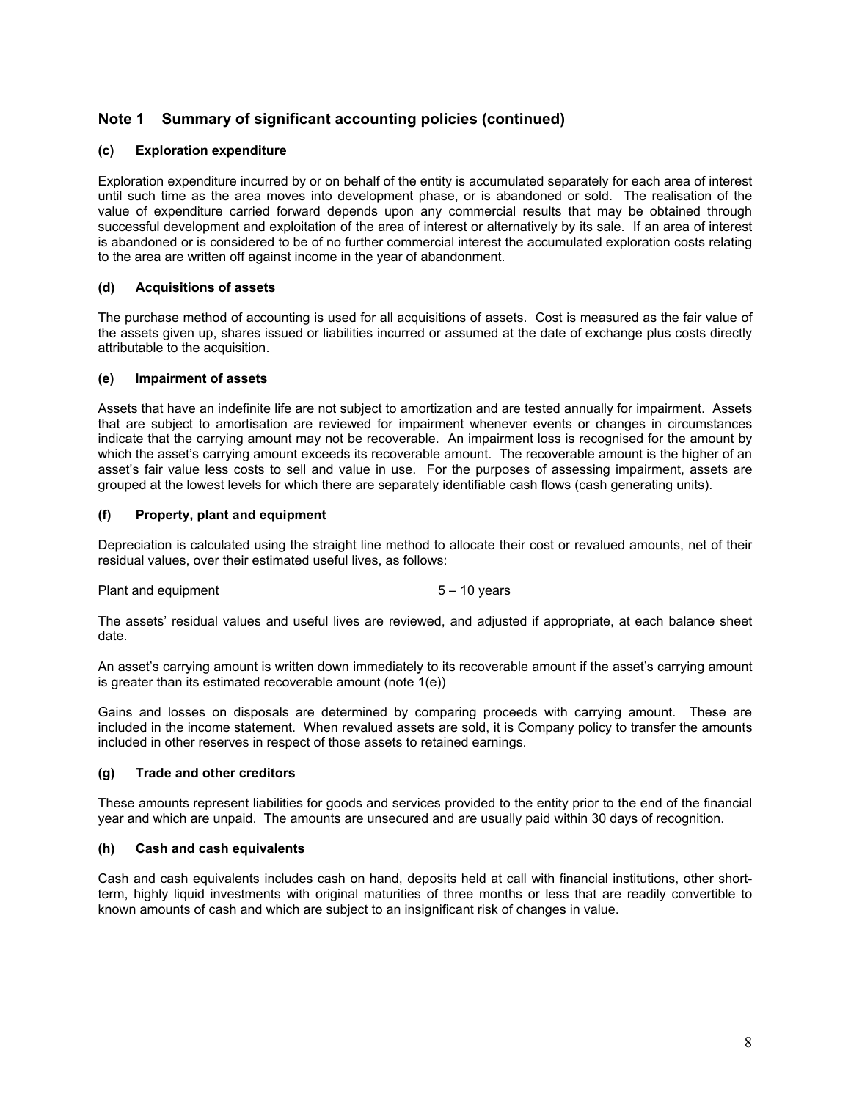## **Note 1 Summary of significant accounting policies (continued)**

### **(c) Exploration expenditure**

Exploration expenditure incurred by or on behalf of the entity is accumulated separately for each area of interest until such time as the area moves into development phase, or is abandoned or sold. The realisation of the value of expenditure carried forward depends upon any commercial results that may be obtained through successful development and exploitation of the area of interest or alternatively by its sale. If an area of interest is abandoned or is considered to be of no further commercial interest the accumulated exploration costs relating to the area are written off against income in the year of abandonment.

### **(d) Acquisitions of assets**

The purchase method of accounting is used for all acquisitions of assets. Cost is measured as the fair value of the assets given up, shares issued or liabilities incurred or assumed at the date of exchange plus costs directly attributable to the acquisition.

### **(e) Impairment of assets**

Assets that have an indefinite life are not subject to amortization and are tested annually for impairment. Assets that are subject to amortisation are reviewed for impairment whenever events or changes in circumstances indicate that the carrying amount may not be recoverable. An impairment loss is recognised for the amount by which the asset's carrying amount exceeds its recoverable amount. The recoverable amount is the higher of an asset's fair value less costs to sell and value in use. For the purposes of assessing impairment, assets are grouped at the lowest levels for which there are separately identifiable cash flows (cash generating units).

### **(f) Property, plant and equipment**

Depreciation is calculated using the straight line method to allocate their cost or revalued amounts, net of their residual values, over their estimated useful lives, as follows:

Plant and equipment 5 – 10 years

The assets' residual values and useful lives are reviewed, and adjusted if appropriate, at each balance sheet date.

An asset's carrying amount is written down immediately to its recoverable amount if the asset's carrying amount is greater than its estimated recoverable amount (note 1(e))

Gains and losses on disposals are determined by comparing proceeds with carrying amount. These are included in the income statement. When revalued assets are sold, it is Company policy to transfer the amounts included in other reserves in respect of those assets to retained earnings.

### **(g) Trade and other creditors**

These amounts represent liabilities for goods and services provided to the entity prior to the end of the financial year and which are unpaid. The amounts are unsecured and are usually paid within 30 days of recognition.

### **(h) Cash and cash equivalents**

Cash and cash equivalents includes cash on hand, deposits held at call with financial institutions, other shortterm, highly liquid investments with original maturities of three months or less that are readily convertible to known amounts of cash and which are subject to an insignificant risk of changes in value.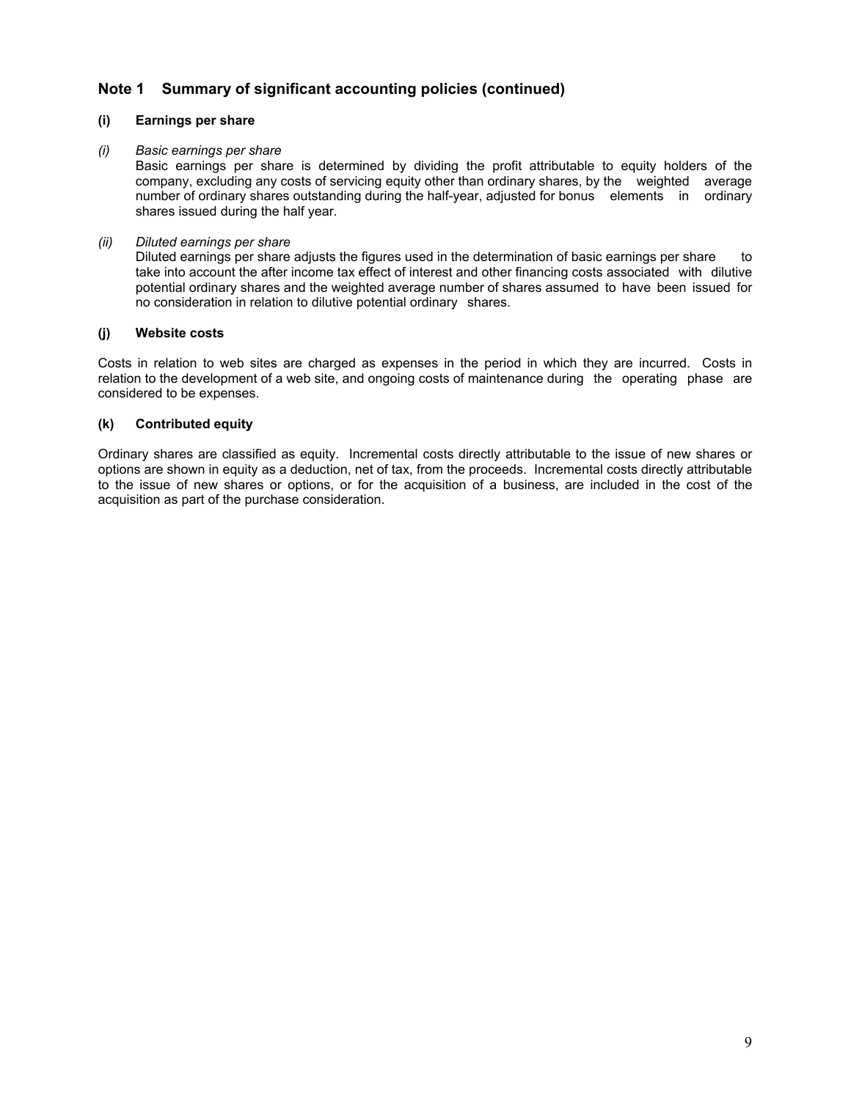## **Note 1 Summary of significant accounting policies (continued)**

### **(i) Earnings per share**

### *(i) Basic earnings per share*

 Basic earnings per share is determined by dividing the profit attributable to equity holders of the company, excluding any costs of servicing equity other than ordinary shares, by the weighted average number of ordinary shares outstanding during the half-year, adjusted for bonus elements in ordinary shares issued during the half year.

### *(ii) Diluted earnings per share*

Diluted earnings per share adjusts the figures used in the determination of basic earnings per share to take into account the after income tax effect of interest and other financing costs associated with dilutive potential ordinary shares and the weighted average number of shares assumed to have been issued for no consideration in relation to dilutive potential ordinary shares.

### **(j) Website costs**

Costs in relation to web sites are charged as expenses in the period in which they are incurred. Costs in relation to the development of a web site, and ongoing costs of maintenance during the operating phase are considered to be expenses.

### **(k) Contributed equity**

Ordinary shares are classified as equity. Incremental costs directly attributable to the issue of new shares or options are shown in equity as a deduction, net of tax, from the proceeds. Incremental costs directly attributable to the issue of new shares or options, or for the acquisition of a business, are included in the cost of the acquisition as part of the purchase consideration.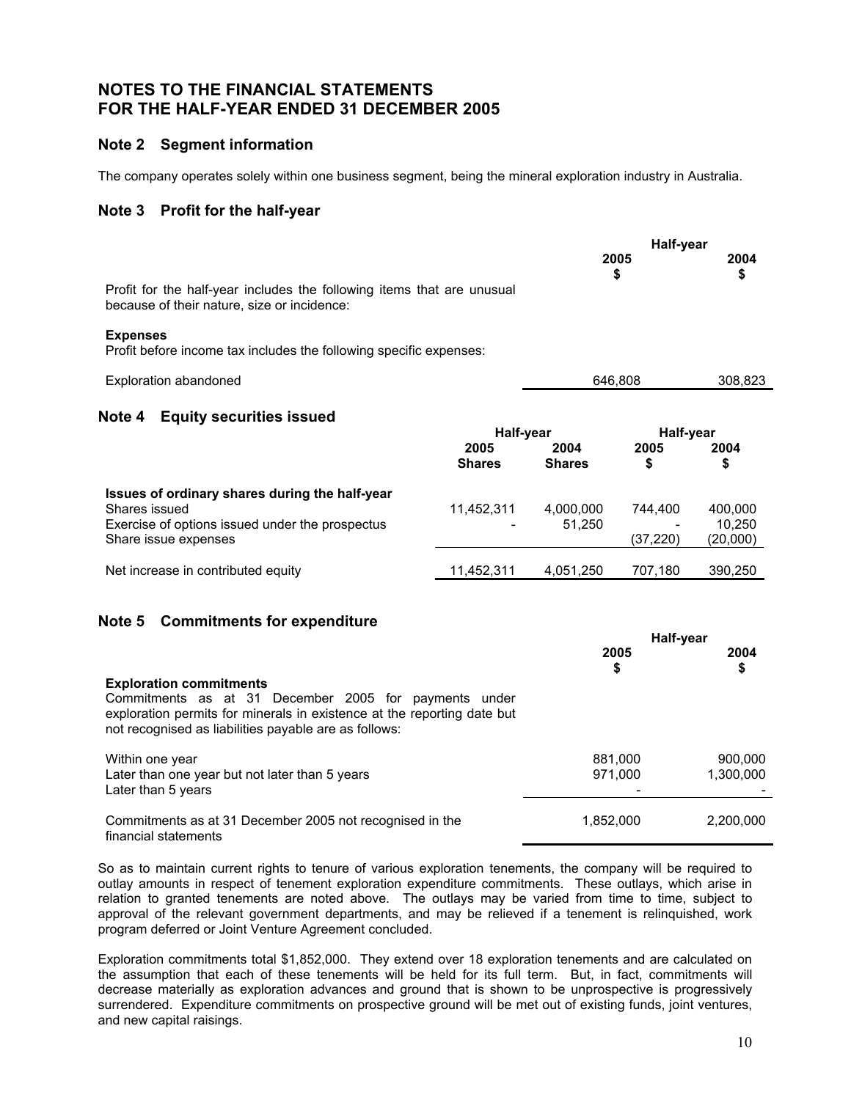### **Note 2 Segment information**

The company operates solely within one business segment, being the mineral exploration industry in Australia.

### **Note 3 Profit for the half-year**

|                                                                                                                       |               |               | Half-year<br>2005<br>\$ | 2004<br>\$ |
|-----------------------------------------------------------------------------------------------------------------------|---------------|---------------|-------------------------|------------|
| Profit for the half-year includes the following items that are unusual<br>because of their nature, size or incidence: |               |               |                         |            |
| <b>Expenses</b><br>Profit before income tax includes the following specific expenses:                                 |               |               |                         |            |
| Exploration abandoned                                                                                                 |               |               | 646.808                 | 308,823    |
| Note 4<br><b>Equity securities issued</b>                                                                             |               |               |                         |            |
|                                                                                                                       |               | Half-year     |                         | Half-year  |
|                                                                                                                       | 2005          | 2004          | 2005                    | 2004       |
|                                                                                                                       | <b>Shares</b> | <b>Shares</b> | \$                      | \$         |
| too uga af avdinam cabayaa duulna tha balf yaay                                                                       |               |               |                         |            |

| Issues of ordinary shares during the half-year<br>Shares issued<br>Exercise of options issued under the prospectus<br>Share issue expenses | 11.452.311<br>$\overline{\phantom{0}}$ | 4.000.000<br>51.250 | 744.400<br>$\overline{\phantom{a}}$<br>(37.220) | 400,000<br>10.250<br>(20,000) |
|--------------------------------------------------------------------------------------------------------------------------------------------|----------------------------------------|---------------------|-------------------------------------------------|-------------------------------|
| Net increase in contributed equity                                                                                                         | 11.452.311                             | 4.051.250           | 707.180                                         | 390,250                       |

## **Note 5 Commitments for expenditure**

|                                                                                                                                                                                                                             |                    | Half-year            |  |  |
|-----------------------------------------------------------------------------------------------------------------------------------------------------------------------------------------------------------------------------|--------------------|----------------------|--|--|
|                                                                                                                                                                                                                             | 2005<br>\$         | 2004<br>\$           |  |  |
| <b>Exploration commitments</b><br>Commitments as at 31 December 2005 for payments under<br>exploration permits for minerals in existence at the reporting date but<br>not recognised as liabilities payable are as follows: |                    |                      |  |  |
| Within one year<br>Later than one year but not later than 5 years<br>Later than 5 years                                                                                                                                     | 881.000<br>971.000 | 900.000<br>1,300,000 |  |  |
| Commitments as at 31 December 2005 not recognised in the<br>financial statements                                                                                                                                            | 1,852,000          | 2,200,000            |  |  |

So as to maintain current rights to tenure of various exploration tenements, the company will be required to outlay amounts in respect of tenement exploration expenditure commitments. These outlays, which arise in relation to granted tenements are noted above. The outlays may be varied from time to time, subject to approval of the relevant government departments, and may be relieved if a tenement is relinquished, work program deferred or Joint Venture Agreement concluded.

Exploration commitments total \$1,852,000. They extend over 18 exploration tenements and are calculated on the assumption that each of these tenements will be held for its full term. But, in fact, commitments will decrease materially as exploration advances and ground that is shown to be unprospective is progressively surrendered. Expenditure commitments on prospective ground will be met out of existing funds, joint ventures, and new capital raisings.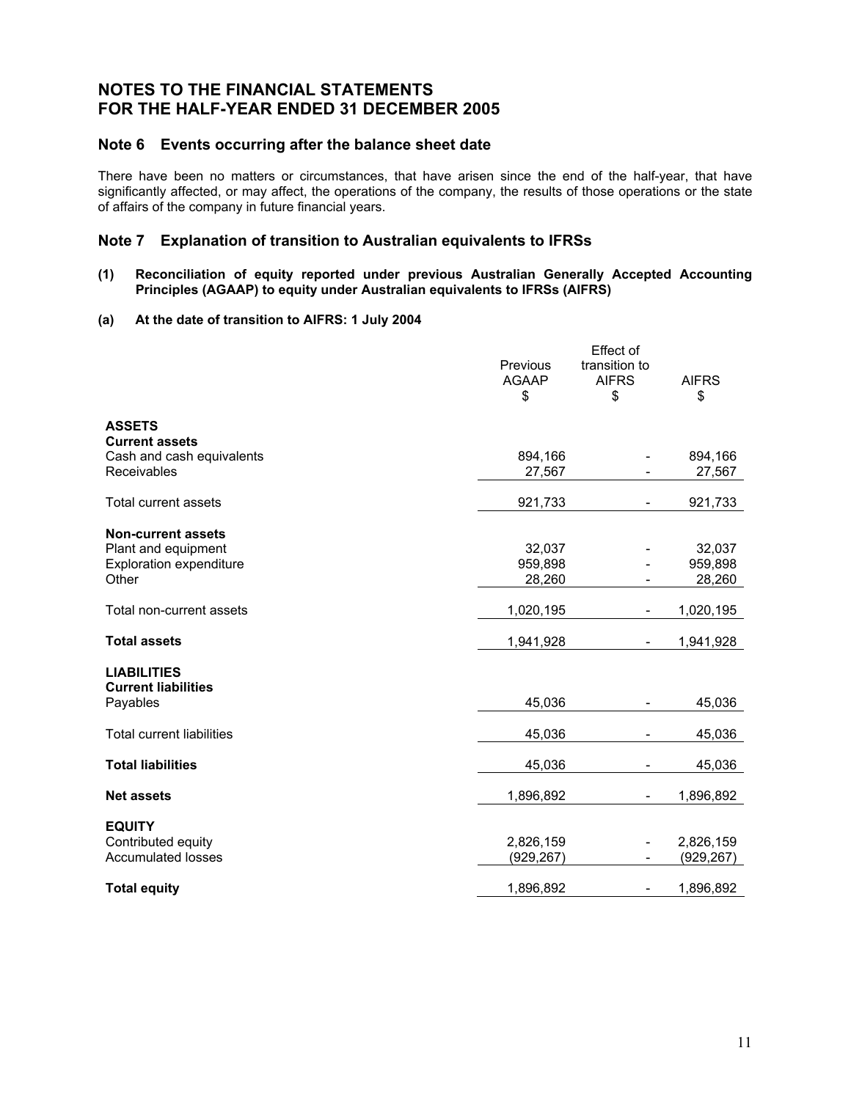### **Note 6 Events occurring after the balance sheet date**

There have been no matters or circumstances, that have arisen since the end of the half-year, that have significantly affected, or may affect, the operations of the company, the results of those operations or the state of affairs of the company in future financial years.

### **Note 7 Explanation of transition to Australian equivalents to IFRSs**

#### **(1) Reconciliation of equity reported under previous Australian Generally Accepted Accounting Principles (AGAAP) to equity under Australian equivalents to IFRSs (AIFRS)**

### **(a) At the date of transition to AIFRS: 1 July 2004**

|                                                 | Previous     | Effect of<br>transition to |              |
|-------------------------------------------------|--------------|----------------------------|--------------|
|                                                 | <b>AGAAP</b> | <b>AIFRS</b>               | <b>AIFRS</b> |
|                                                 | \$           | \$                         | \$           |
| <b>ASSETS</b>                                   |              |                            |              |
| <b>Current assets</b>                           |              |                            |              |
| Cash and cash equivalents                       | 894,166      |                            | 894,166      |
| Receivables                                     | 27,567       |                            | 27,567       |
| <b>Total current assets</b>                     | 921,733      |                            | 921,733      |
| <b>Non-current assets</b>                       |              |                            |              |
| Plant and equipment                             | 32,037       |                            | 32,037       |
| <b>Exploration expenditure</b>                  | 959,898      |                            | 959,898      |
| Other                                           | 28,260       |                            | 28,260       |
| Total non-current assets                        | 1,020,195    |                            | 1,020,195    |
| <b>Total assets</b>                             | 1,941,928    |                            | 1,941,928    |
| <b>LIABILITIES</b>                              |              |                            |              |
| <b>Current liabilities</b>                      |              |                            |              |
| Payables                                        | 45,036       |                            | 45,036       |
| <b>Total current liabilities</b>                | 45,036       |                            | 45,036       |
| <b>Total liabilities</b>                        | 45,036       |                            | 45,036       |
| <b>Net assets</b>                               | 1,896,892    |                            | 1,896,892    |
|                                                 |              |                            |              |
| <b>EQUITY</b>                                   |              |                            |              |
| Contributed equity<br><b>Accumulated losses</b> | 2,826,159    |                            | 2,826,159    |
|                                                 | (929, 267)   |                            | (929, 267)   |
| <b>Total equity</b>                             | 1,896,892    | $\overline{\phantom{a}}$   | 1,896,892    |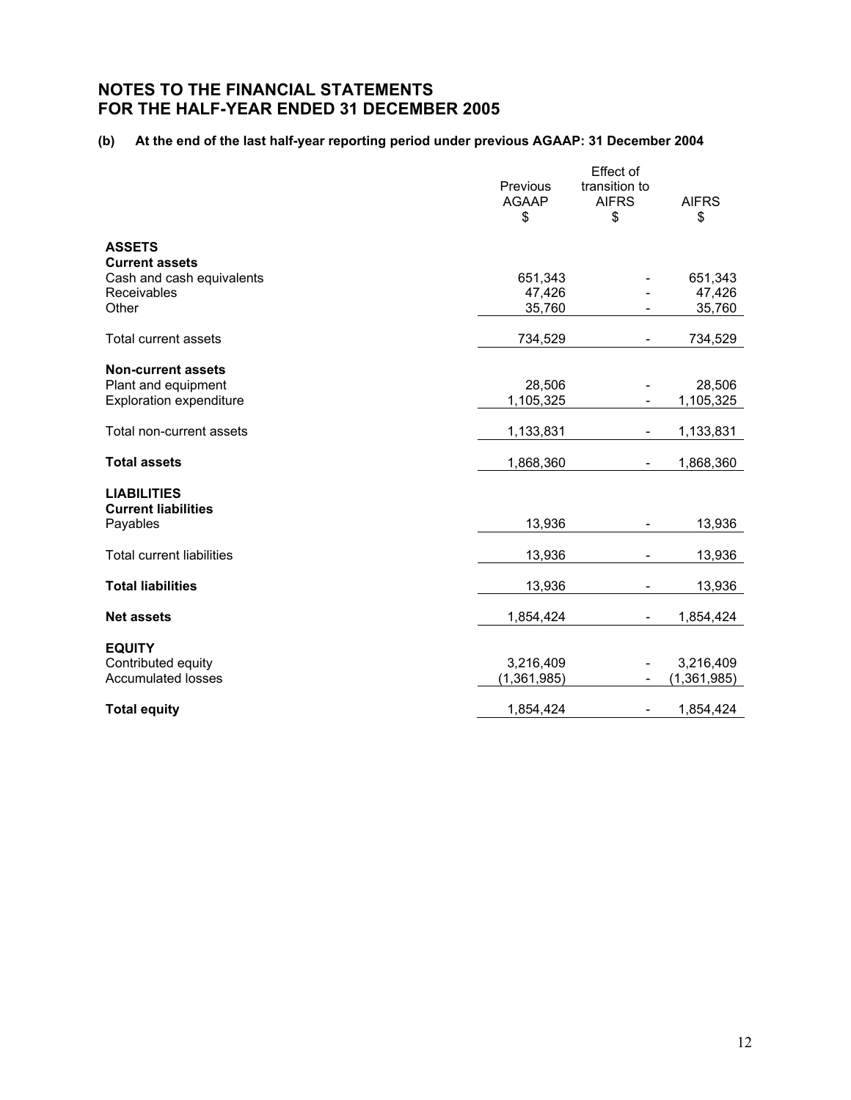### **(b) At the end of the last half-year reporting period under previous AGAAP: 31 December 2004**

|                                                    | Previous           | Effect of<br>transition to |                    |
|----------------------------------------------------|--------------------|----------------------------|--------------------|
|                                                    | <b>AGAAP</b><br>\$ | <b>AIFRS</b><br>\$         | <b>AIFRS</b><br>\$ |
|                                                    |                    |                            |                    |
| <b>ASSETS</b>                                      |                    |                            |                    |
| <b>Current assets</b><br>Cash and cash equivalents | 651,343            |                            | 651,343            |
| Receivables                                        | 47,426             |                            | 47,426             |
| Other                                              | 35,760             |                            | 35,760             |
| Total current assets                               | 734,529            |                            | 734,529            |
| <b>Non-current assets</b>                          |                    |                            |                    |
| Plant and equipment                                | 28,506             |                            | 28,506             |
| <b>Exploration expenditure</b>                     | 1,105,325          |                            | 1,105,325          |
| Total non-current assets                           | 1,133,831          | $\overline{\phantom{m}}$   | 1,133,831          |
| <b>Total assets</b>                                | 1,868,360          |                            | 1,868,360          |
| <b>LIABILITIES</b>                                 |                    |                            |                    |
| <b>Current liabilities</b>                         |                    |                            |                    |
| Payables                                           | 13,936             | $\overline{\phantom{a}}$   | 13,936             |
| <b>Total current liabilities</b>                   | 13,936             |                            | 13,936             |
| <b>Total liabilities</b>                           | 13,936             |                            | 13,936             |
| <b>Net assets</b>                                  | 1,854,424          |                            | 1,854,424          |
| <b>EQUITY</b>                                      |                    |                            |                    |
| Contributed equity                                 | 3,216,409          |                            | 3,216,409          |
| <b>Accumulated losses</b>                          | (1,361,985)        |                            | (1, 361, 985)      |
| <b>Total equity</b>                                | 1,854,424          | $\overline{\phantom{a}}$   | 1,854,424          |
|                                                    |                    |                            |                    |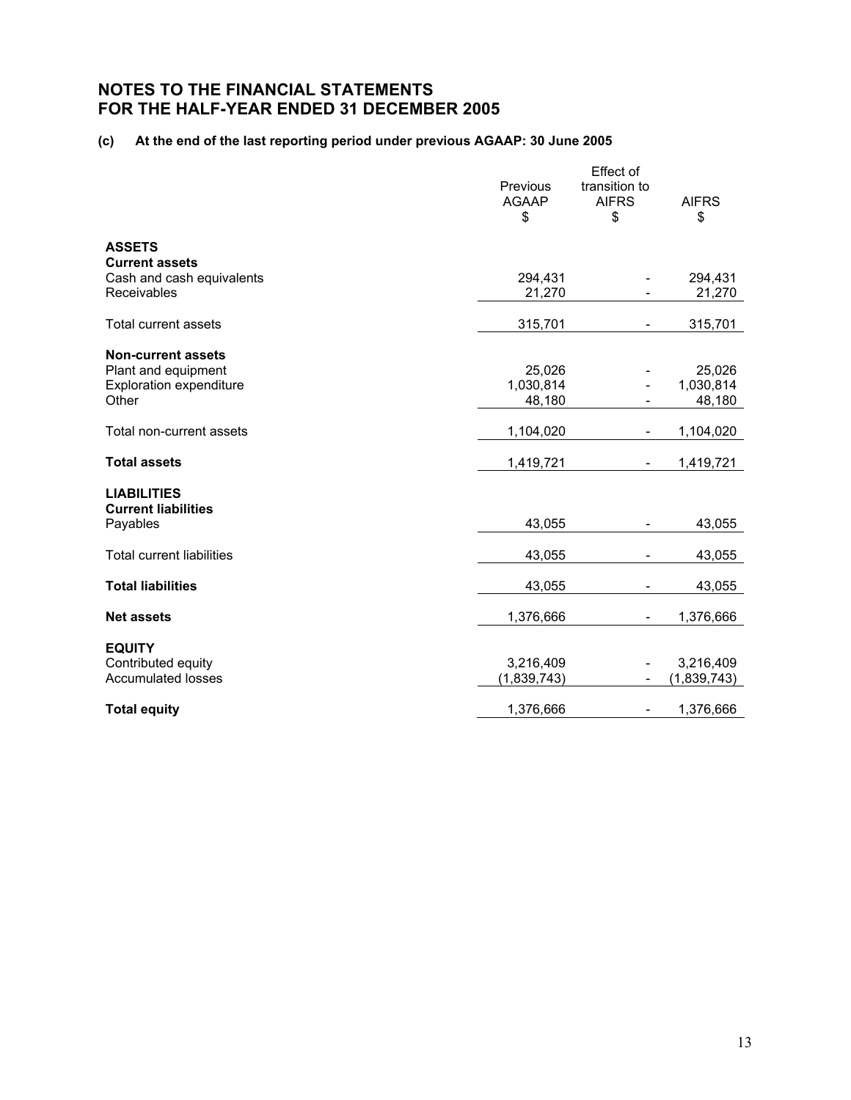### **(c) At the end of the last reporting period under previous AGAAP: 30 June 2005**

|                                  |              | Effect of                |              |
|----------------------------------|--------------|--------------------------|--------------|
|                                  | Previous     | transition to            |              |
|                                  | <b>AGAAP</b> | <b>AIFRS</b>             | <b>AIFRS</b> |
|                                  | \$           | \$                       | \$           |
| <b>ASSETS</b>                    |              |                          |              |
| <b>Current assets</b>            |              |                          |              |
| Cash and cash equivalents        | 294,431      |                          | 294,431      |
| <b>Receivables</b>               | 21,270       |                          | 21,270       |
| <b>Total current assets</b>      | 315,701      | -                        | 315,701      |
| <b>Non-current assets</b>        |              |                          |              |
| Plant and equipment              | 25,026       |                          | 25,026       |
| <b>Exploration expenditure</b>   | 1,030,814    |                          | 1,030,814    |
| Other                            | 48,180       |                          | 48,180       |
|                                  |              |                          |              |
| Total non-current assets         | 1,104,020    |                          | 1,104,020    |
| <b>Total assets</b>              | 1,419,721    | L,                       | 1,419,721    |
| <b>LIABILITIES</b>               |              |                          |              |
| <b>Current liabilities</b>       |              |                          |              |
| Payables                         | 43,055       | $\overline{\phantom{a}}$ | 43,055       |
| <b>Total current liabilities</b> | 43,055       |                          | 43,055       |
|                                  |              |                          |              |
| <b>Total liabilities</b>         | 43,055       |                          | 43,055       |
| <b>Net assets</b>                | 1,376,666    |                          | 1,376,666    |
|                                  |              |                          |              |
| <b>EQUITY</b>                    |              |                          |              |
| Contributed equity               | 3,216,409    |                          | 3,216,409    |
| <b>Accumulated losses</b>        | (1,839,743)  | -                        | (1,839,743)  |
| <b>Total equity</b>              | 1,376,666    | $\overline{\phantom{a}}$ | 1,376,666    |
|                                  |              |                          |              |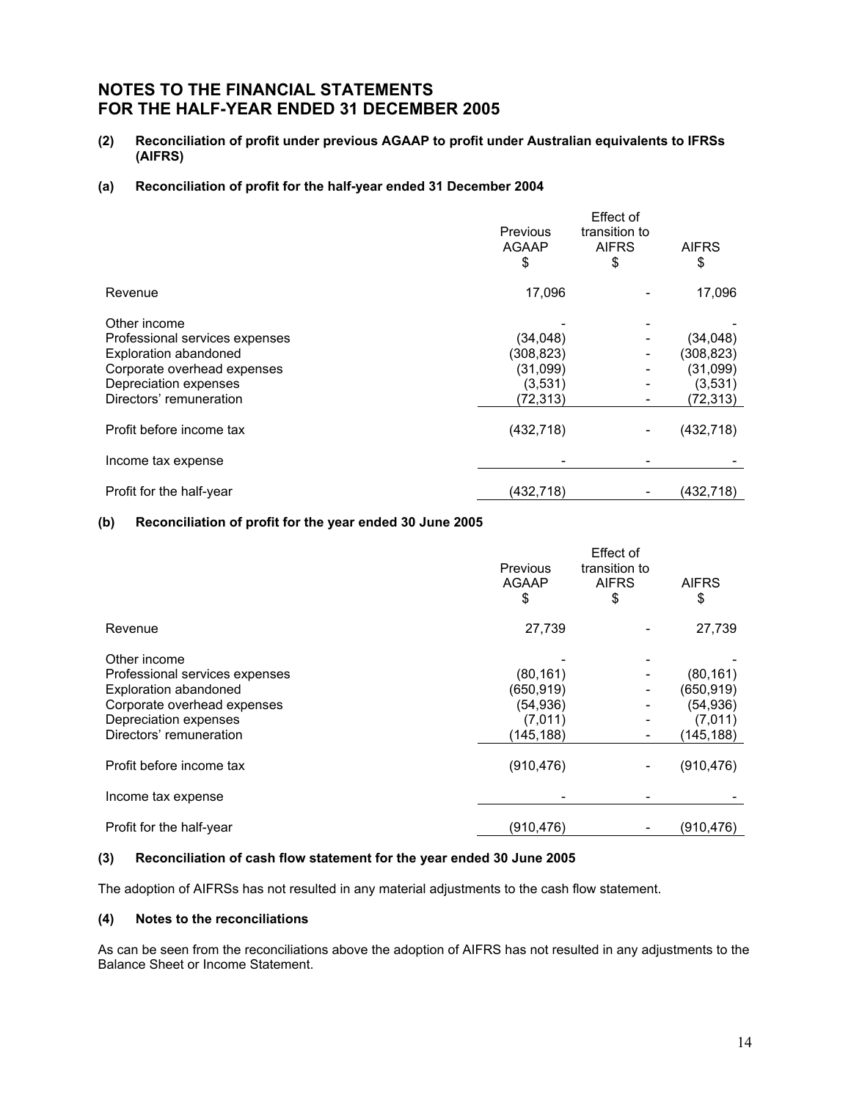**(2) Reconciliation of profit under previous AGAAP to profit under Australian equivalents to IFRSs (AIFRS)** 

#### **(a) Reconciliation of profit for the half-year ended 31 December 2004**

|                                | <b>Previous</b><br><b>AGAAP</b><br>\$ | Effect of<br>transition to<br><b>AIFRS</b><br>\$ | <b>AIFRS</b><br>\$ |
|--------------------------------|---------------------------------------|--------------------------------------------------|--------------------|
| Revenue                        | 17,096                                |                                                  | 17,096             |
| Other income                   |                                       |                                                  |                    |
| Professional services expenses | (34,048)                              |                                                  | (34,048)           |
| <b>Exploration abandoned</b>   | (308, 823)                            | -                                                | (308, 823)         |
| Corporate overhead expenses    | (31,099)                              |                                                  | (31,099)           |
| Depreciation expenses          | (3,531)                               |                                                  | (3,531)            |
| Directors' remuneration        | (72,313)                              |                                                  | (72,313)           |
| Profit before income tax       | (432, 718)                            |                                                  | (432, 718)         |
| Income tax expense             |                                       |                                                  |                    |
| Profit for the half-year       | (432,718)                             |                                                  | (432,718)          |

### **(b) Reconciliation of profit for the year ended 30 June 2005**

|                                                                                                                                                                   | <b>Previous</b><br><b>AGAAP</b><br>\$                       | Effect of<br>transition to<br><b>AIFRS</b><br>\$ | <b>AIFRS</b><br>\$                                           |
|-------------------------------------------------------------------------------------------------------------------------------------------------------------------|-------------------------------------------------------------|--------------------------------------------------|--------------------------------------------------------------|
| Revenue                                                                                                                                                           | 27,739                                                      |                                                  | 27,739                                                       |
| Other income<br>Professional services expenses<br><b>Exploration abandoned</b><br>Corporate overhead expenses<br>Depreciation expenses<br>Directors' remuneration | (80, 161)<br>(650,919)<br>(54, 936)<br>(7,011)<br>(145,188) |                                                  | (80, 161)<br>(650, 919)<br>(54, 936)<br>(7,011)<br>(145,188) |
| Profit before income tax                                                                                                                                          | (910, 476)                                                  |                                                  | (910, 476)                                                   |
| Income tax expense                                                                                                                                                |                                                             |                                                  |                                                              |
| Profit for the half-year                                                                                                                                          | (910,476)                                                   |                                                  | (910,476)                                                    |

### **(3) Reconciliation of cash flow statement for the year ended 30 June 2005**

The adoption of AIFRSs has not resulted in any material adjustments to the cash flow statement.

### **(4) Notes to the reconciliations**

As can be seen from the reconciliations above the adoption of AIFRS has not resulted in any adjustments to the Balance Sheet or Income Statement.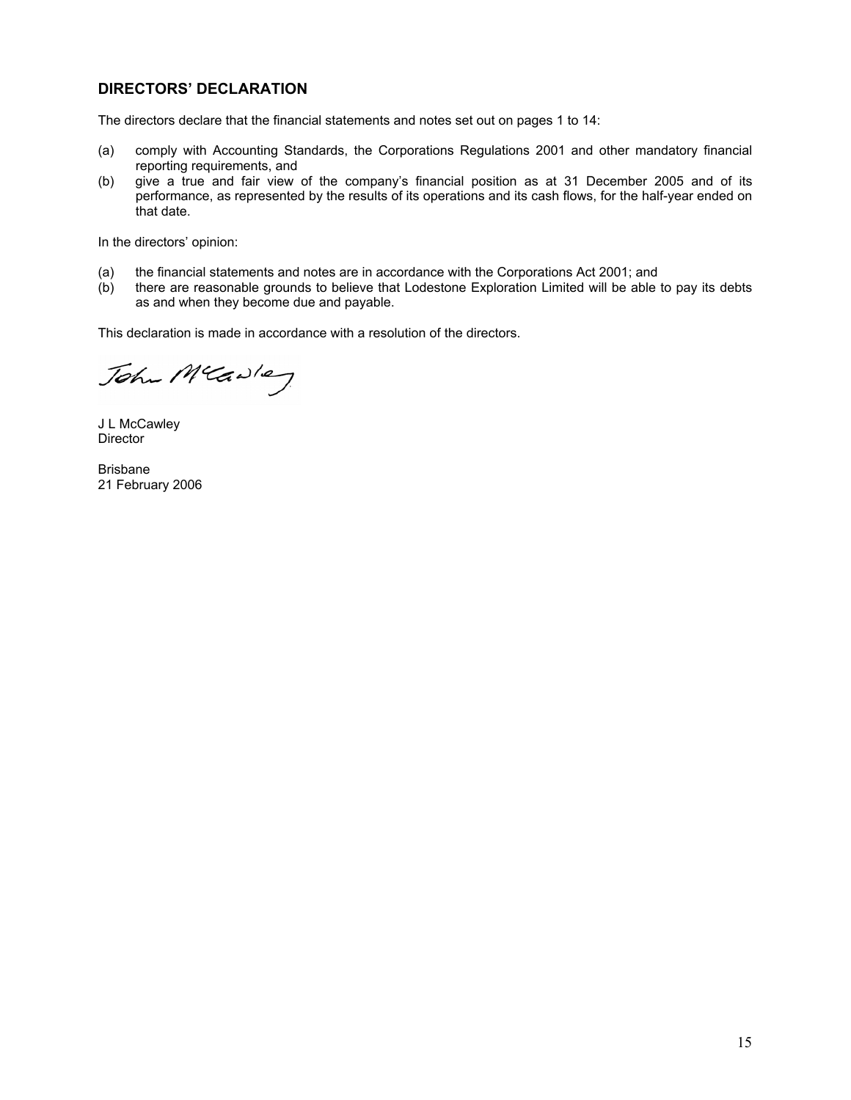## **DIRECTORS' DECLARATION**

The directors declare that the financial statements and notes set out on pages 1 to 14:

- (a) comply with Accounting Standards, the Corporations Regulations 2001 and other mandatory financial reporting requirements, and
- (b) give a true and fair view of the company's financial position as at 31 December 2005 and of its performance, as represented by the results of its operations and its cash flows, for the half-year ended on that date.

In the directors' opinion:

- (a) the financial statements and notes are in accordance with the Corporations Act 2001; and
- (b) there are reasonable grounds to believe that Lodestone Exploration Limited will be able to pay its debts as and when they become due and payable.

This declaration is made in accordance with a resolution of the directors.

John Mcawley

J L McCawley Director

Brisbane 21 February 2006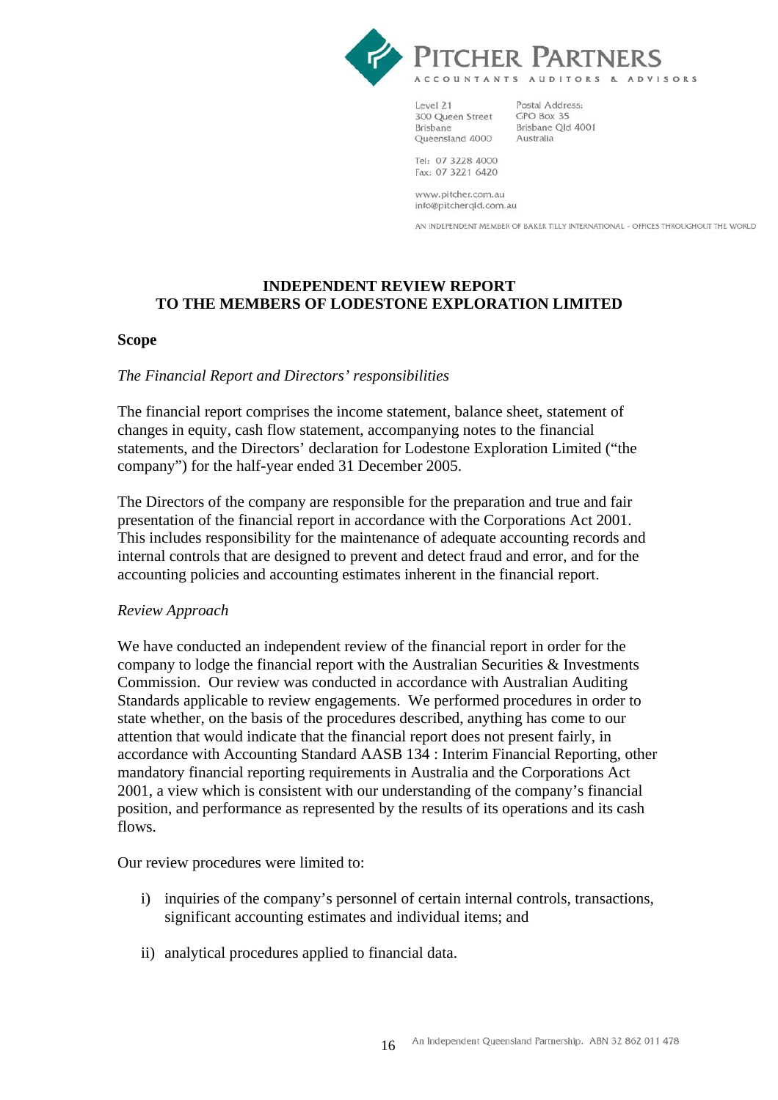

Level 21 300 Queen Street **Brisbane** Queensland 4000

Postal Address: GPO Box 35 Brisbane Old 4001 Brisbane<br>Australia

Tel: 07 3228 4000 Fax: 07 3221 6420

www.pitcher.com.au info@pitcherqld.com.au

AN INDEPENDENT MEMBER OF BAKER TILLY INTERNATIONAL - OFFICES THROUGHOUT THE WORLD

## **INDEPENDENT REVIEW REPORT TO THE MEMBERS OF LODESTONE EXPLORATION LIMITED**

### **Scope**

## *The Financial Report and Directors' responsibilities*

The financial report comprises the income statement, balance sheet, statement of changes in equity, cash flow statement, accompanying notes to the financial statements, and the Directors' declaration for Lodestone Exploration Limited ("the company") for the half-year ended 31 December 2005.

The Directors of the company are responsible for the preparation and true and fair presentation of the financial report in accordance with the Corporations Act 2001. This includes responsibility for the maintenance of adequate accounting records and internal controls that are designed to prevent and detect fraud and error, and for the accounting policies and accounting estimates inherent in the financial report.

## *Review Approach*

We have conducted an independent review of the financial report in order for the company to lodge the financial report with the Australian Securities & Investments Commission. Our review was conducted in accordance with Australian Auditing Standards applicable to review engagements. We performed procedures in order to state whether, on the basis of the procedures described, anything has come to our attention that would indicate that the financial report does not present fairly, in accordance with Accounting Standard AASB 134 : Interim Financial Reporting, other mandatory financial reporting requirements in Australia and the Corporations Act 2001, a view which is consistent with our understanding of the company's financial position, and performance as represented by the results of its operations and its cash flows.

Our review procedures were limited to:

- i) inquiries of the company's personnel of certain internal controls, transactions, significant accounting estimates and individual items; and
- ii) analytical procedures applied to financial data.